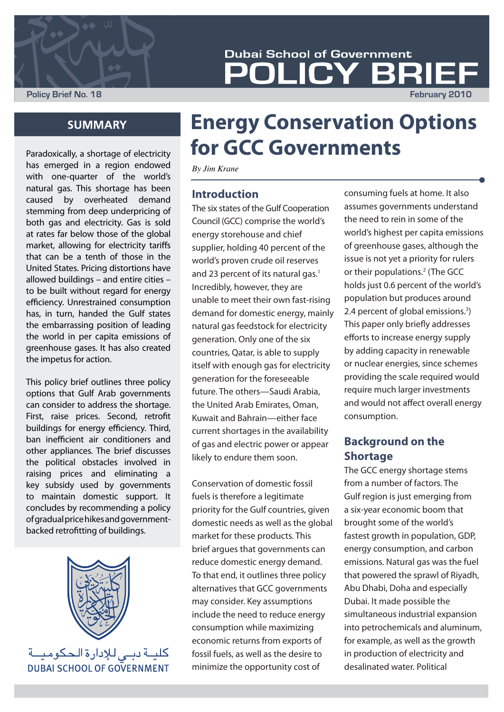

**Policy Brief No. 18 February 2010**

# **Energy Conservation Options for GCC Governments**

**LICY BRIE** 

**Dubai School of Government** 

*By Jim Krane*

#### **Introduction**

The six states of the Gulf Cooperation Council (GCC) comprise the world's energy storehouse and chief supplier, holding 40 percent of the world's proven crude oil reserves and 23 percent of its natural gas.<sup>1</sup> Incredibly, however, they are unable to meet their own fast-rising demand for domestic energy, mainly natural gas feedstock for electricity generation. Only one of the six countries, Qatar, is able to supply itself with enough gas for electricity generation for the foreseeable future. The others—Saudi Arabia, the United Arab Emirates, Oman, Kuwait and Bahrain—either face current shortages in the availability of gas and electric power or appear likely to endure them soon.

Conservation of domestic fossil fuels is therefore a legitimate priority for the Gulf countries, given domestic needs as well as the global market for these products. This brief argues that governments can reduce domestic energy demand. To that end, it outlines three policy alternatives that GCC governments may consider. Key assumptions include the need to reduce energy consumption while maximizing economic returns from exports of fossil fuels, as well as the desire to minimize the opportunity cost of

consuming fuels at home. It also assumes governments understand the need to rein in some of the world's highest per capita emissions of greenhouse gases, although the issue is not yet a priority for rulers or their populations.<sup>2</sup> (The GCC holds just 0.6 percent of the world's population but produces around 2.4 percent of global emissions.3 ) This paper only briefly addresses efforts to increase energy supply by adding capacity in renewable or nuclear energies, since schemes providing the scale required would require much larger investments and would not affect overall energy consumption.

## **Background on the Shortage**

The GCC energy shortage stems from a number of factors. The Gulf region is just emerging from a six-year economic boom that brought some of the world's fastest growth in population, GDP, energy consumption, and carbon emissions. Natural gas was the fuel that powered the sprawl of Riyadh, Abu Dhabi, Doha and especially Dubai. It made possible the simultaneous industrial expansion into petrochemicals and aluminum, for example, as well as the growth in production of electricity and desalinated water. Political

# **SUMMARY**

Paradoxically, a shortage of electricity has emerged in a region endowed with one-quarter of the world's natural gas. This shortage has been caused by overheated demand stemming from deep underpricing of both gas and electricity. Gas is sold at rates far below those of the global market, allowing for electricity tariffs that can be a tenth of those in the United States. Pricing distortions have allowed buildings – and entire cities – to be built without regard for energy efficiency. Unrestrained consumption has, in turn, handed the Gulf states the embarrassing position of leading the world in per capita emissions of greenhouse gases. It has also created the impetus for action.

This policy brief outlines three policy options that Gulf Arab governments can consider to address the shortage. First, raise prices. Second, retrofit buildings for energy efficiency. Third, ban inefficient air conditioners and other appliances. The brief discusses the political obstacles involved in raising prices and eliminating a key subsidy used by governments to maintain domestic support. It concludes by recommending a policy of gradual price hikes and governmentbacked retrofitting of buildings.



كليــة دبــى لـلإدارة الـحكوميــة **DUBAL SCHOOL OF GOVERNMENT**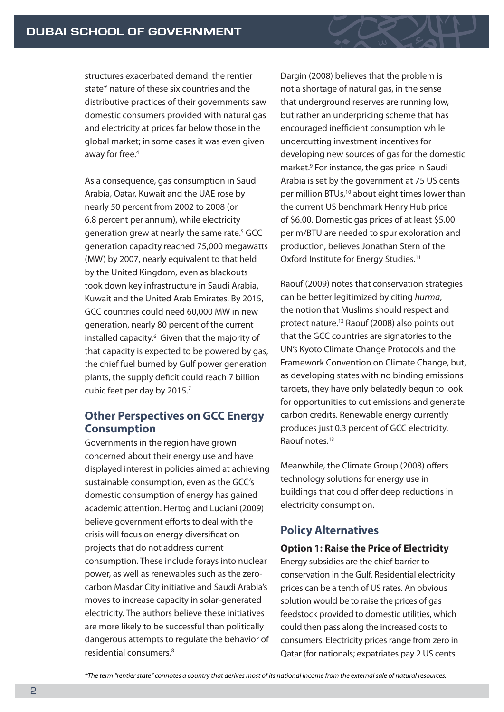structures exacerbated demand: the rentier state\* nature of these six countries and the distributive practices of their governments saw domestic consumers provided with natural gas and electricity at prices far below those in the global market; in some cases it was even given away for free.<sup>4</sup>

As a consequence, gas consumption in Saudi Arabia, Qatar, Kuwait and the UAE rose by nearly 50 percent from 2002 to 2008 (or 6.8 percent per annum), while electricity generation grew at nearly the same rate.<sup>5</sup> GCC generation capacity reached 75,000 megawatts (MW) by 2007, nearly equivalent to that held by the United Kingdom, even as blackouts took down key infrastructure in Saudi Arabia, Kuwait and the United Arab Emirates. By 2015, GCC countries could need 60,000 MW in new generation, nearly 80 percent of the current installed capacity.<sup>6</sup> Given that the majority of that capacity is expected to be powered by gas, the chief fuel burned by Gulf power generation plants, the supply deficit could reach 7 billion cubic feet per day by 2015.7

#### **Other Perspectives on GCC Energy Consumption**

Governments in the region have grown concerned about their energy use and have displayed interest in policies aimed at achieving sustainable consumption, even as the GCC's domestic consumption of energy has gained academic attention. Hertog and Luciani (2009) believe government efforts to deal with the crisis will focus on energy diversification projects that do not address current consumption. These include forays into nuclear power, as well as renewables such as the zerocarbon Masdar City initiative and Saudi Arabia's moves to increase capacity in solar-generated electricity. The authors believe these initiatives are more likely to be successful than politically dangerous attempts to regulate the behavior of residential consumers.8

Dargin (2008) believes that the problem is not a shortage of natural gas, in the sense that underground reserves are running low, but rather an underpricing scheme that has encouraged inefficient consumption while undercutting investment incentives for developing new sources of gas for the domestic market.9 For instance, the gas price in Saudi Arabia is set by the government at 75 US cents per million BTUs,<sup>10</sup> about eight times lower than the current US benchmark Henry Hub price of \$6.00. Domestic gas prices of at least \$5.00 per m/BTU are needed to spur exploration and production, believes Jonathan Stern of the Oxford Institute for Energy Studies.<sup>11</sup>

Raouf (2009) notes that conservation strategies can be better legitimized by citing *hurma*, the notion that Muslims should respect and protect nature.12 Raouf (2008) also points out that the GCC countries are signatories to the UN's Kyoto Climate Change Protocols and the Framework Convention on Climate Change, but, as developing states with no binding emissions targets, they have only belatedly begun to look for opportunities to cut emissions and generate carbon credits. Renewable energy currently produces just 0.3 percent of GCC electricity, Raouf notes.13

Meanwhile, the Climate Group (2008) offers technology solutions for energy use in buildings that could offer deep reductions in electricity consumption.

### **Policy Alternatives**

#### **Option 1: Raise the Price of Electricity**

Energy subsidies are the chief barrier to conservation in the Gulf. Residential electricity prices can be a tenth of US rates. An obvious solution would be to raise the prices of gas feedstock provided to domestic utilities, which could then pass along the increased costs to consumers. Electricity prices range from zero in Qatar (for nationals; expatriates pay 2 US cents

*\*The term "rentier state" connotes a country that derives most of its national income from the external sale of natural resources.*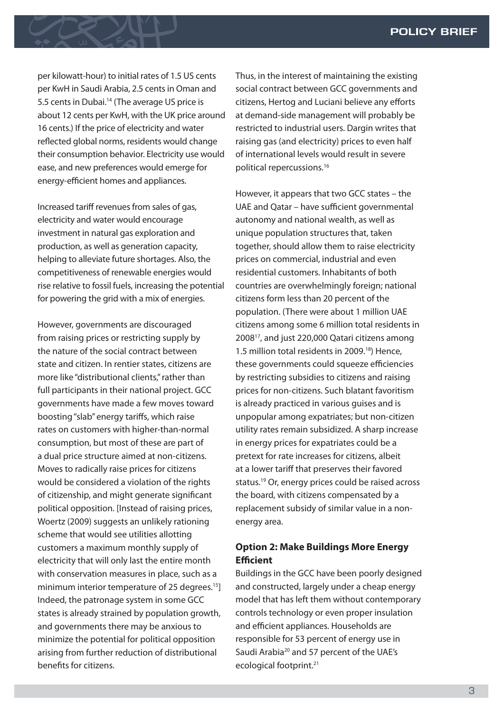#### **POLICY BRIEF**

per kilowatt-hour) to initial rates of 1.5 US cents per KwH in Saudi Arabia, 2.5 cents in Oman and 5.5 cents in Dubai.<sup>14</sup> (The average US price is about 12 cents per KwH, with the UK price around 16 cents.) If the price of electricity and water reflected global norms, residents would change their consumption behavior. Electricity use would ease, and new preferences would emerge for energy-efficient homes and appliances.

Increased tariff revenues from sales of gas, electricity and water would encourage investment in natural gas exploration and production, as well as generation capacity, helping to alleviate future shortages. Also, the competitiveness of renewable energies would rise relative to fossil fuels, increasing the potential for powering the grid with a mix of energies.

However, governments are discouraged from raising prices or restricting supply by the nature of the social contract between state and citizen. In rentier states, citizens are more like "distributional clients," rather than full participants in their national project. GCC governments have made a few moves toward boosting "slab" energy tariffs, which raise rates on customers with higher-than-normal consumption, but most of these are part of a dual price structure aimed at non-citizens. Moves to radically raise prices for citizens would be considered a violation of the rights of citizenship, and might generate significant political opposition. [Instead of raising prices, Woertz (2009) suggests an unlikely rationing scheme that would see utilities allotting customers a maximum monthly supply of electricity that will only last the entire month with conservation measures in place, such as a minimum interior temperature of 25 degrees.<sup>15</sup>] Indeed, the patronage system in some GCC states is already strained by population growth, and governments there may be anxious to minimize the potential for political opposition arising from further reduction of distributional benefits for citizens.

Thus, in the interest of maintaining the existing social contract between GCC governments and citizens, Hertog and Luciani believe any efforts at demand-side management will probably be restricted to industrial users. Dargin writes that raising gas (and electricity) prices to even half of international levels would result in severe political repercussions.16

However, it appears that two GCC states – the UAE and Qatar – have sufficient governmental autonomy and national wealth, as well as unique population structures that, taken together, should allow them to raise electricity prices on commercial, industrial and even residential customers. Inhabitants of both countries are overwhelmingly foreign; national citizens form less than 20 percent of the population. (There were about 1 million UAE citizens among some 6 million total residents in 200817, and just 220,000 Qatari citizens among 1.5 million total residents in 2009.18) Hence, these governments could squeeze efficiencies by restricting subsidies to citizens and raising prices for non-citizens. Such blatant favoritism is already practiced in various guises and is unpopular among expatriates; but non-citizen utility rates remain subsidized. A sharp increase in energy prices for expatriates could be a pretext for rate increases for citizens, albeit at a lower tariff that preserves their favored status.19 Or, energy prices could be raised across the board, with citizens compensated by a replacement subsidy of similar value in a nonenergy area.

#### **Option 2: Make Buildings More Energy Efficient**

Buildings in the GCC have been poorly designed and constructed, largely under a cheap energy model that has left them without contemporary controls technology or even proper insulation and efficient appliances. Households are responsible for 53 percent of energy use in Saudi Arabia<sup>20</sup> and 57 percent of the UAE's ecological footprint.21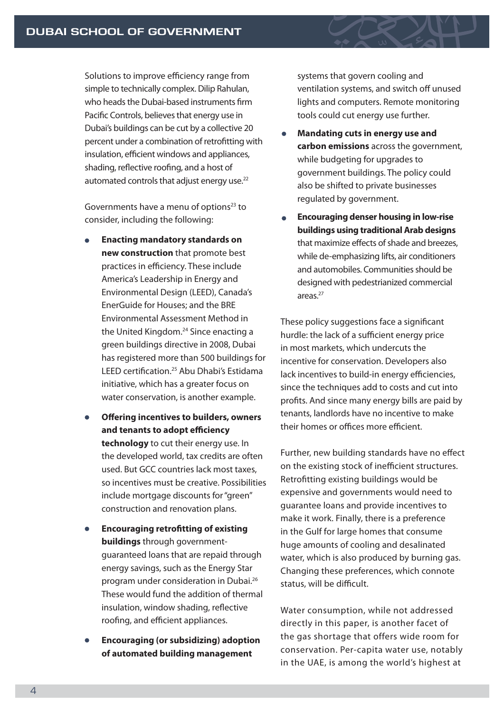Solutions to improve efficiency range from simple to technically complex. Dilip Rahulan, who heads the Dubai-based instruments firm Pacific Controls, believes that energy use in Dubai's buildings can be cut by a collective 20 percent under a combination of retrofitting with insulation, efficient windows and appliances, shading, reflective roofing, and a host of automated controls that adjust energy use.<sup>22</sup>

Governments have a menu of options<sup>23</sup> to consider, including the following:

- **Enacting mandatory standards on new construction** that promote best practices in efficiency. These include America's Leadership in Energy and Environmental Design (LEED), Canada's EnerGuide for Houses; and the BRE Environmental Assessment Method in the United Kingdom.<sup>24</sup> Since enacting a green buildings directive in 2008, Dubai has registered more than 500 buildings for LEED certification.<sup>25</sup> Abu Dhabi's Estidama initiative, which has a greater focus on water conservation, is another example.
- **Offering incentives to builders, owners and tenants to adopt efficiency technology** to cut their energy use. In the developed world, tax credits are often used. But GCC countries lack most taxes, so incentives must be creative. Possibilities include mortgage discounts for "green" construction and renovation plans.
- **Encouraging retrofitting of existing buildings** through governmentguaranteed loans that are repaid through energy savings, such as the Energy Star program under consideration in Dubai.26 These would fund the addition of thermal insulation, window shading, reflective roofing, and efficient appliances.
- **Encouraging (or subsidizing) adoption of automated building management**

systems that govern cooling and ventilation systems, and switch off unused lights and computers. Remote monitoring tools could cut energy use further.

- **Mandating cuts in energy use and carbon emissions** across the government, while budgeting for upgrades to government buildings. The policy could also be shifted to private businesses regulated by government.
- **Encouraging denser housing in low-rise buildings using traditional Arab designs** that maximize effects of shade and breezes, while de-emphasizing lifts, air conditioners and automobiles. Communities should be designed with pedestrianized commercial areas.27

These policy suggestions face a significant hurdle: the lack of a sufficient energy price in most markets, which undercuts the incentive for conservation. Developers also lack incentives to build-in energy efficiencies, since the techniques add to costs and cut into profits. And since many energy bills are paid by tenants, landlords have no incentive to make their homes or offices more efficient.

Further, new building standards have no effect on the existing stock of inefficient structures. Retrofitting existing buildings would be expensive and governments would need to guarantee loans and provide incentives to make it work. Finally, there is a preference in the Gulf for large homes that consume huge amounts of cooling and desalinated water, which is also produced by burning gas. Changing these preferences, which connote status, will be difficult.

Water consumption, while not addressed directly in this paper, is another facet of the gas shortage that offers wide room for conservation. Per-capita water use, notably in the UAE, is among the world's highest at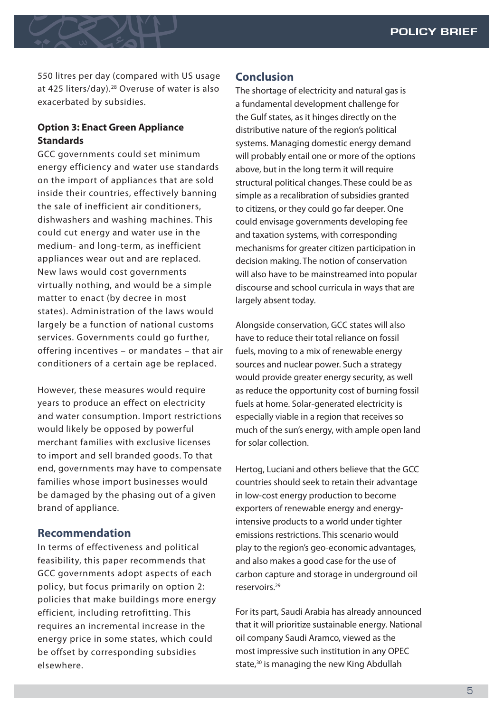550 litres per day (compared with US usage at 425 liters/day).28 Overuse of water is also exacerbated by subsidies.

#### **Option 3: Enact Green Appliance Standards**

GCC governments could set minimum energy efficiency and water use standards on the import of appliances that are sold inside their countries, effectively banning the sale of inefficient air conditioners, dishwashers and washing machines. This could cut energy and water use in the medium- and long-term, as inefficient appliances wear out and are replaced. New laws would cost governments virtually nothing, and would be a simple matter to enact (by decree in most states). Administration of the laws would largely be a function of national customs services. Governments could go further, offering incentives – or mandates – that air conditioners of a certain age be replaced.

However, these measures would require years to produce an effect on electricity and water consumption. Import restrictions would likely be opposed by powerful merchant families with exclusive licenses to import and sell branded goods. To that end, governments may have to compensate families whose import businesses would be damaged by the phasing out of a given brand of appliance.

#### **Recommendation**

In terms of effectiveness and political feasibility, this paper recommends that GCC governments adopt aspects of each policy, but focus primarily on option 2: policies that make buildings more energy efficient, including retrofitting. This requires an incremental increase in the energy price in some states, which could be offset by corresponding subsidies elsewhere.

#### **Conclusion**

The shortage of electricity and natural gas is a fundamental development challenge for the Gulf states, as it hinges directly on the distributive nature of the region's political systems. Managing domestic energy demand will probably entail one or more of the options above, but in the long term it will require structural political changes. These could be as simple as a recalibration of subsidies granted to citizens, or they could go far deeper. One could envisage governments developing fee and taxation systems, with corresponding mechanisms for greater citizen participation in decision making. The notion of conservation will also have to be mainstreamed into popular discourse and school curricula in ways that are largely absent today.

Alongside conservation, GCC states will also have to reduce their total reliance on fossil fuels, moving to a mix of renewable energy sources and nuclear power. Such a strategy would provide greater energy security, as well as reduce the opportunity cost of burning fossil fuels at home. Solar-generated electricity is especially viable in a region that receives so much of the sun's energy, with ample open land for solar collection.

Hertog, Luciani and others believe that the GCC countries should seek to retain their advantage in low-cost energy production to become exporters of renewable energy and energyintensive products to a world under tighter emissions restrictions. This scenario would play to the region's geo-economic advantages, and also makes a good case for the use of carbon capture and storage in underground oil reservoirs.29

For its part, Saudi Arabia has already announced that it will prioritize sustainable energy. National oil company Saudi Aramco, viewed as the most impressive such institution in any OPEC state,<sup>30</sup> is managing the new King Abdullah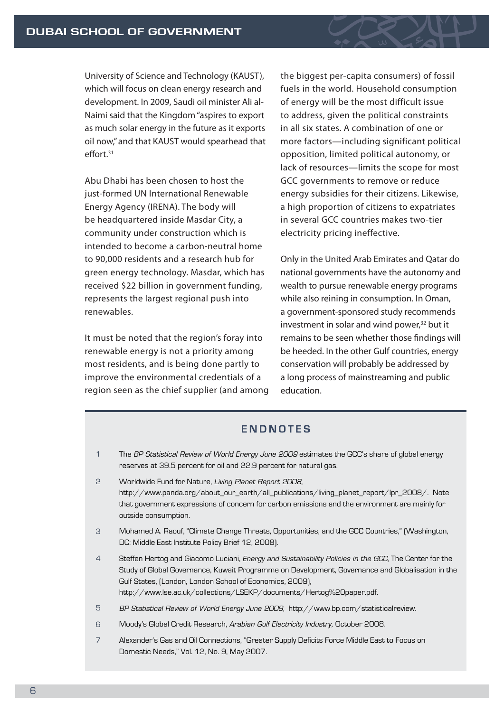University of Science and Technology (KAUST), which will focus on clean energy research and development. In 2009, Saudi oil minister Ali al-Naimi said that the Kingdom "aspires to export as much solar energy in the future as it exports oil now," and that KAUST would spearhead that  $effort<sup>31</sup>$ 

Abu Dhabi has been chosen to host the just-formed UN International Renewable Energy Agency (IRENA). The body will be headquartered inside Masdar City, a community under construction which is intended to become a carbon-neutral home to 90,000 residents and a research hub for green energy technology. Masdar, which has received \$22 billion in government funding, represents the largest regional push into renewables.

It must be noted that the region's foray into renewable energy is not a priority among most residents, and is being done partly to improve the environmental credentials of a region seen as the chief supplier (and among the biggest per-capita consumers) of fossil fuels in the world. Household consumption of energy will be the most difficult issue to address, given the political constraints in all six states. A combination of one or more factors—including significant political opposition, limited political autonomy, or lack of resources—limits the scope for most GCC governments to remove or reduce energy subsidies for their citizens. Likewise, a high proportion of citizens to expatriates in several GCC countries makes two-tier electricity pricing ineffective.

Only in the United Arab Emirates and Qatar do national governments have the autonomy and wealth to pursue renewable energy programs while also reining in consumption. In Oman, a government-sponsored study recommends investment in solar and wind power,<sup>32</sup> but it remains to be seen whether those findings will be heeded. In the other Gulf countries, energy conservation will probably be addressed by a long process of mainstreaming and public education.

#### **ENDNOTES**

- The *BP Statistical Review of World Energy June 2009* estimates the GCC's share of global energy reserves at 39.5 percent for oil and 22.9 percent for natural gas. 1
- Worldwide Fund for Nature, *Living Planet Report 2008*, http://www.panda.org/about\_our\_earth/all\_publications/living\_planet\_report/lpr\_2008/. Note that government expressions of concern for carbon emissions and the environment are mainly for outside consumption. 2
- Mohamed A. Raouf, "Climate Change Threats, Opportunities, and the GCC Countries," (Washington, DC: Middle East Institute Policy Brief 12, 2008). 3
- Steffen Hertog and Giacomo Luciani, *Energy and Sustainability Policies in the GCC*, The Center for the Study of Global Governance, Kuwait Programme on Development, Governance and Globalisation in the Gulf States, (London, London School of Economics, 2009), http://www.lse.ac.uk/collections/LSEKP/documents/Hertog%20paper.pdf. 4
- *BP Statistical Review of World Energy June 2009*, http://www.bp.com/statisticalreview. 5
- Moody's Global Credit Research, *Arabian Gulf Electricity Industry,* October 2008. 6
- Alexander's Gas and Oil Connections, "Greater Supply Deficits Force Middle East to Focus on Domestic Needs," Vol. 12, No. 9, May 2007. 7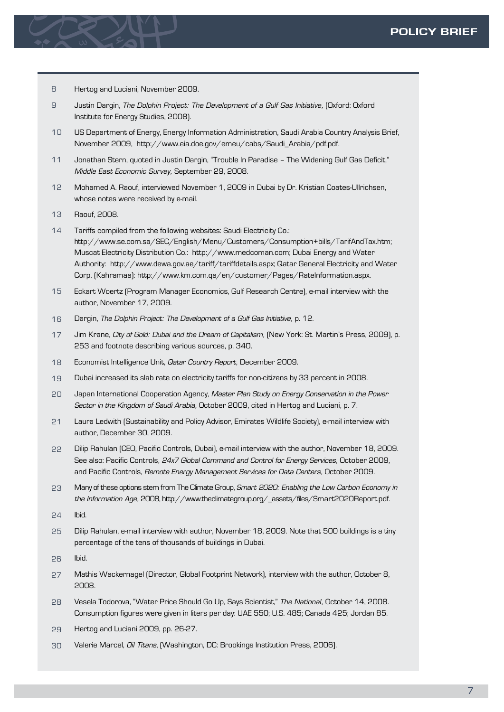- Hertog and Luciani, November 2009. 8
- Justin Dargin, *The Dolphin Project: The Development of a Gulf Gas Initiative,* (Oxford: Oxford Institute for Energy Studies, 2008). 9
- US Department of Energy, Energy Information Administration, Saudi Arabia Country Analysis Brief, November 2009, http://www.eia.doe.gov/emeu/cabs/Saudi\_Arabia/pdf.pdf. 10
- Jonathan Stern, quoted in Justin Dargin, "Trouble In Paradise The Widening Gulf Gas Deficit," *Middle East Economic Survey,* September 29, 2008. 11
- Mohamed A. Raouf, interviewed November 1, 2009 in Dubai by Dr. Kristian Coates-Ullrichsen, whose notes were received by e-mail. 12
- Raouf, 2008. 13
- Tariffs compiled from the following websites: Saudi Electricity Co.: http://www.se.com.sa/SEC/English/Menu/Customers/Consumption+bills/TarifAndTax.htm; Muscat Electricity Distribution Co.: http://www.medcoman.com; Dubai Energy and Water Authority: http://www.dewa.gov.ae/tariff/tariffdetails.aspx; Qatar General Electricity and Water Corp. (Kahramaa): http://www.km.com.qa/en/customer/Pages/RateInformation.aspx.  $14$
- Eckart Woertz (Program Manager Economics, Gulf Research Centre), e-mail interview with the author, November 17, 2009. 15
- Dargin, *The Dolphin Project: The Development of a Gulf Gas Initiative,* p. 12. 16
- Jim Krane, *City of Gold: Dubai and the Dream of Capitalism,* (New York: St. Martin's Press, 2009), p. 253 and footnote describing various sources, p. 340. 17
- Economist Intelligence Unit, *Qatar Country Report,* December 2009. 18
- Dubai increased its slab rate on electricity tariffs for non-citizens by 33 percent in 2008. 19
- Japan International Cooperation Agency, *Master Plan Study on Energy Conservation in the Power Sector in the Kingdom of Saudi Arabia,* October 2009, cited in Hertog and Luciani, p. 7. 20
- Laura Ledwith (Sustainability and Policy Advisor, Emirates Wildlife Society), e-mail interview with author, December 30, 2009.  $21$
- Dilip Rahulan (CEO, Pacific Controls, Dubai), e-mail interview with the author, November 18, 2009. See also: Pacific Controls, *24x7 Global Command and Control for Energy Services,* October 2009, and Pacific Controls, *Remote Energy Management Services for Data Centers,* October 2009. 22
- Many of these options stem from The Climate Group, *Smart 2020: Enabling the Low Carbon Economy in the Information Age,* 2008, http://www.theclimategroup.org/\_assets/files/Smart2020Report.pdf. 23
- Ibid. 24
- Dilip Rahulan, e-mail interview with author, November 18, 2009. Note that 500 buildings is a tiny percentage of the tens of thousands of buildings in Dubai. 25
- Ibid. 26
- Mathis Wackernagel (Director, Global Footprint Network), interview with the author, October 8, 2008. 27
- Vesela Todorova, "Water Price Should Go Up, Says Scientist," *The National,* October 14, 2008. Consumption figures were given in liters per day: UAE 550; U.S. 485; Canada 425; Jordan 85. 28
- Hertog and Luciani 2009, pp. 26-27. 29
- Valerie Marcel, *Oil Titans*, (Washington, DC: Brookings Institution Press, 2006). 30